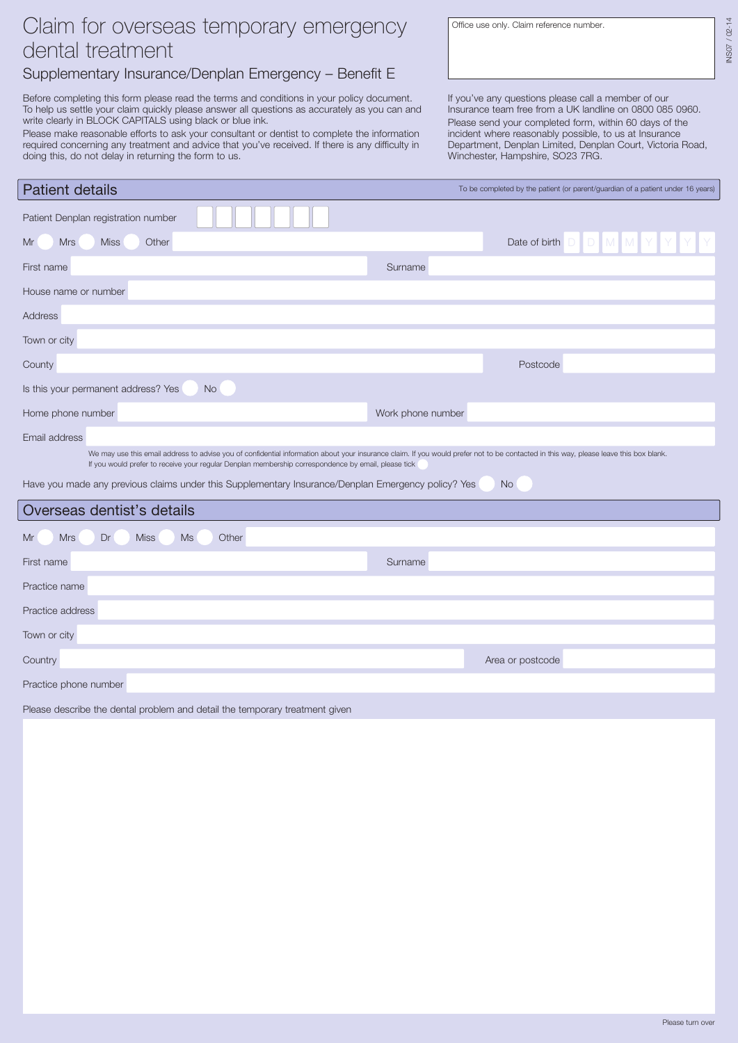## Claim for overseas temporary emergency dental treatment

## Supplementary Insurance/Denplan Emergency – Benefit E

Before completing this form please read the terms and conditions in your policy document. To help us settle your claim quickly please answer all questions as accurately as you can and write clearly in BLOCK CAPITALS using black or blue ink.

Please make reasonable efforts to ask your consultant or dentist to complete the information required concerning any treatment and advice that you've received. If there is any difficulty in doing this, do not delay in returning the form to us.

Office use only. Claim reference number.

 $102 - 14$ INS07 / 02-14 INS07

If you've any questions please call a member of our Insurance team free from a UK landline on 0800 085 0960. Please send your completed form, within 60 days of the incident where reasonably possible, to us at Insurance Department, Denplan Limited, Denplan Court, Victoria Road, Winchester, Hampshire, SO23 7RG.

| <b>Patient details</b>                                                                              | To be completed by the patient (or parent/guardian of a patient under 16 years)                                                                                                       |
|-----------------------------------------------------------------------------------------------------|---------------------------------------------------------------------------------------------------------------------------------------------------------------------------------------|
| Patient Denplan registration number                                                                 |                                                                                                                                                                                       |
| Mr<br><b>Mrs</b><br><b>Miss</b><br>Other                                                            | DDMM<br>Date of birth                                                                                                                                                                 |
| First name                                                                                          | Surname                                                                                                                                                                               |
| House name or number                                                                                |                                                                                                                                                                                       |
| <b>Address</b>                                                                                      |                                                                                                                                                                                       |
| Town or city                                                                                        |                                                                                                                                                                                       |
| County                                                                                              | Postcode                                                                                                                                                                              |
| Is this your permanent address? Yes<br><b>No</b>                                                    |                                                                                                                                                                                       |
| Home phone number                                                                                   | Work phone number                                                                                                                                                                     |
| Email address                                                                                       |                                                                                                                                                                                       |
| If you would prefer to receive your regular Denplan membership correspondence by email, please tick | We may use this email address to advise you of confidential information about your insurance claim. If you would prefer not to be contacted in this way, please leave this box blank. |
| Have you made any previous claims under this Supplementary Insurance/Denplan Emergency policy? Yes  | N <sub>o</sub>                                                                                                                                                                        |
| Overseas dentist's details                                                                          |                                                                                                                                                                                       |
| <b>Ms</b><br>Mr<br><b>Mrs</b><br>Dr<br><b>Miss</b><br>Other                                         |                                                                                                                                                                                       |
| First name                                                                                          | Surname                                                                                                                                                                               |
| Practice name                                                                                       |                                                                                                                                                                                       |
| Practice address                                                                                    |                                                                                                                                                                                       |
| Town or city                                                                                        |                                                                                                                                                                                       |
| Country                                                                                             | Area or postcode                                                                                                                                                                      |
|                                                                                                     |                                                                                                                                                                                       |

Practice phone number

Please describe the dental problem and detail the temporary treatment given